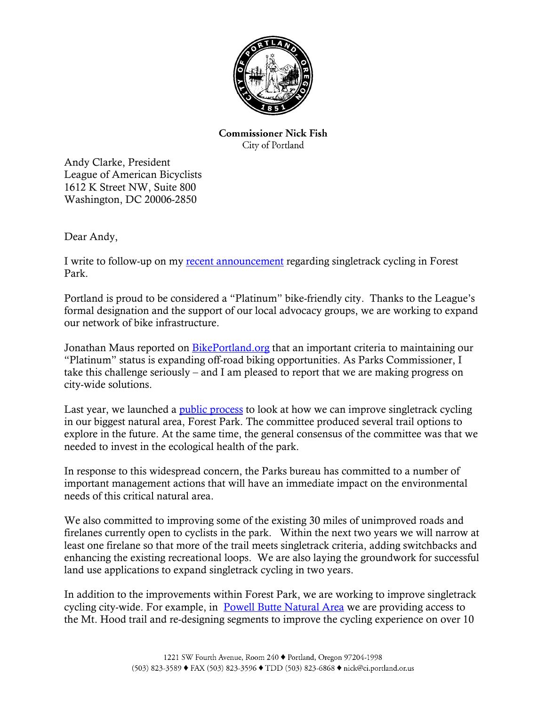

**Commissioner Nick Fish** City of Portland

Andy Clarke, President League of American Bicyclists 1612 K Street NW, Suite 800 Washington, DC 20006-2850

Dear Andy,

I write to follow-up on my recent announcement regarding singletrack cycling in Forest Park.

Portland is proud to be considered a "Platinum" bike-friendly city. Thanks to the League's formal designation and the support of our local advocacy groups, we are working to expand our network of bike infrastructure.

Jonathan Maus reported on **BikePortland.org** that an important criteria to maintaining our "Platinum" status is expanding off-road biking opportunities. As Parks Commissioner, I take this challenge seriously – and I am pleased to report that we are making progress on city-wide solutions.

Last year, we launched a <u>public process</u> to look at how we can improve singletrack cycling in our biggest natural area, Forest Park. The committee produced several trail options to explore in the future. At the same time, the general consensus of the committee was that we needed to invest in the ecological health of the park.

In response to this widespread concern, the Parks bureau has committed to a number of important management actions that will have an immediate impact on the environmental needs of this critical natural area.

We also committed to improving some of the existing 30 miles of unimproved roads and firelanes currently open to cyclists in the park. Within the next two years we will narrow at least one firelane so that more of the trail meets singletrack criteria, adding switchbacks and enhancing the existing recreational loops. We are also laying the groundwork for successful land use applications to expand singletrack cycling in two years.

In addition to the improvements within Forest Park, we are working to improve singletrack cycling city-wide. For example, in Powell Butte Natural Area we are providing access to the Mt. Hood trail and re-designing segments to improve the cycling experience on over 10